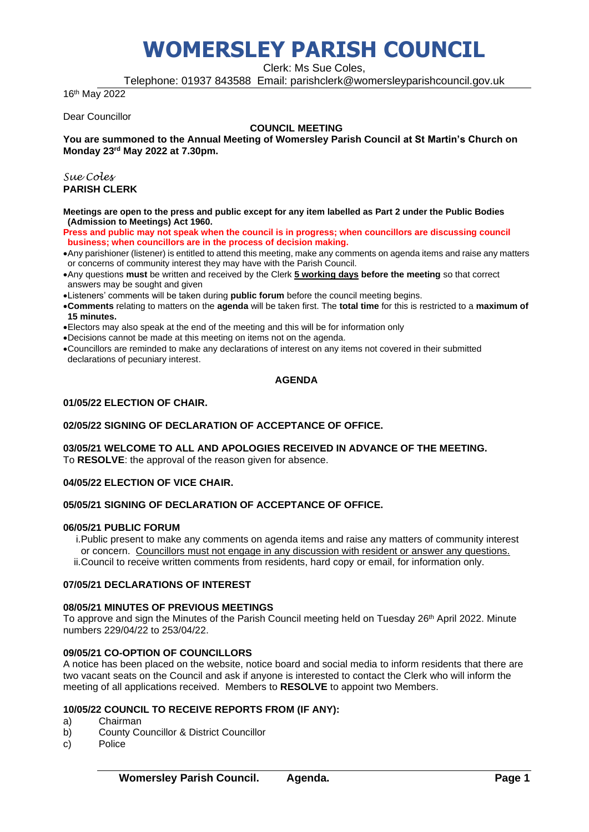Clerk: Ms Sue Coles,

Telephone: 01937 843588 Email: parishclerk@womersleyparishcouncil.gov.uk

16th May 2022

Dear Councillor

#### **COUNCIL MEETING**

**You are summoned to the Annual Meeting of Womersley Parish Council at St Martin's Church on Monday 23rd May 2022 at 7.30pm.** 

*Sue Coles* **PARISH CLERK**

**Meetings are open to the press and public except for any item labelled as Part 2 under the Public Bodies (Admission to Meetings) Act 1960.**

**Press and public may not speak when the council is in progress; when councillors are discussing council business; when councillors are in the process of decision making.**

- •Any parishioner (listener) is entitled to attend this meeting, make any comments on agenda items and raise any matters or concerns of community interest they may have with the Parish Council.
- •Any questions **must** be written and received by the Clerk **5 working days before the meeting** so that correct answers may be sought and given
- •Listeners' comments will be taken during **public forum** before the council meeting begins.
- •**Comments** relating to matters on the **agenda** will be taken first. The **total time** for this is restricted to a **maximum of 15 minutes.**
- •Electors may also speak at the end of the meeting and this will be for information only
- •Decisions cannot be made at this meeting on items not on the agenda.
- •Councillors are reminded to make any declarations of interest on any items not covered in their submitted declarations of pecuniary interest.

# **AGENDA**

### **01/05/22 ELECTION OF CHAIR.**

#### **02/05/22 SIGNING OF DECLARATION OF ACCEPTANCE OF OFFICE.**

#### **03/05/21 WELCOME TO ALL AND APOLOGIES RECEIVED IN ADVANCE OF THE MEETING.** To **RESOLVE**: the approval of the reason given for absence.

#### **04/05/22 ELECTION OF VICE CHAIR.**

#### **05/05/21 SIGNING OF DECLARATION OF ACCEPTANCE OF OFFICE.**

#### **06/05/21 PUBLIC FORUM**

i.Public present to make any comments on agenda items and raise any matters of community interest or concern. Councillors must not engage in any discussion with resident or answer any questions. ii.Council to receive written comments from residents, hard copy or email, for information only.

# **07/05/21 DECLARATIONS OF INTEREST**

#### **08/05/21 MINUTES OF PREVIOUS MEETINGS**

To approve and sign the Minutes of the Parish Council meeting held on Tuesday 26<sup>th</sup> April 2022. Minute numbers 229/04/22 to 253/04/22.

# **09/05/21 CO-OPTION OF COUNCILLORS**

A notice has been placed on the website, notice board and social media to inform residents that there are two vacant seats on the Council and ask if anyone is interested to contact the Clerk who will inform the meeting of all applications received. Members to **RESOLVE** to appoint two Members.

# **10/05/22 COUNCIL TO RECEIVE REPORTS FROM (IF ANY):**

a) Chairman

- b) County Councillor & District Councillor
- c) Police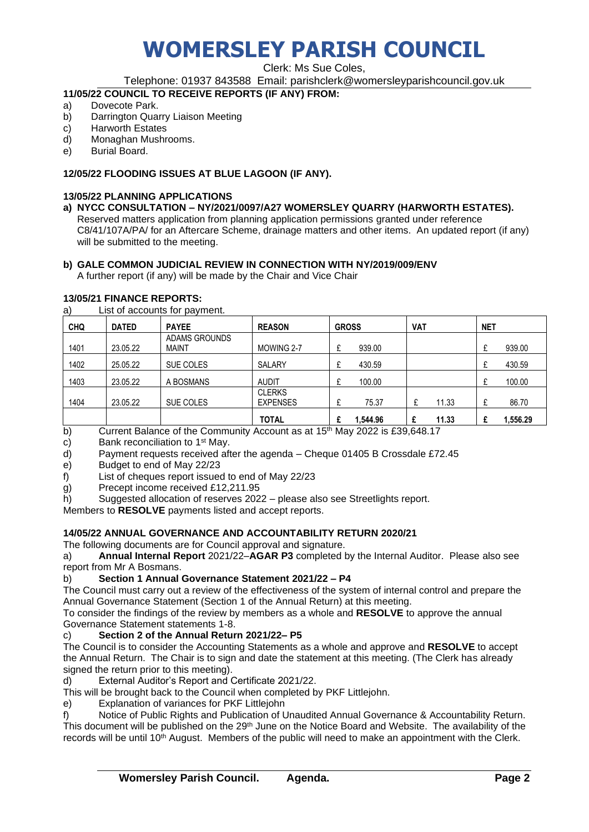Clerk: Ms Sue Coles,

Telephone: 01937 843588 Email: parishclerk@womersleyparishcouncil.gov.uk

# **11/05/22 COUNCIL TO RECEIVE REPORTS (IF ANY) FROM:**

- a) Dovecote Park.
- b) Darrington Quarry Liaison Meeting
- c) Harworth Estates
- d) Monaghan Mushrooms.
- e) Burial Board.

# **12/05/22 FLOODING ISSUES AT BLUE LAGOON (IF ANY).**

# **13/05/22 PLANNING APPLICATIONS**

**a) NYCC CONSULTATION – NY/2021/0097/A27 WOMERSLEY QUARRY (HARWORTH ESTATES).** Reserved matters application from planning application permissions granted under reference C8/41/107A/PA/ for an Aftercare Scheme, drainage matters and other items. An updated report (if any) will be submitted to the meeting.

# **b) GALE COMMON JUDICIAL REVIEW IN CONNECTION WITH NY/2019/009/ENV**

A further report (if any) will be made by the Chair and Vice Chair

# **13/05/21 FINANCE REPORTS:**

a) List of accounts for payment.

| <b>CHQ</b> | <b>DATED</b> | <b>PAYEE</b>         | <b>REASON</b>   | <b>GROSS</b> | <b>VAT</b> | <b>NET</b> |
|------------|--------------|----------------------|-----------------|--------------|------------|------------|
|            |              | <b>ADAMS GROUNDS</b> |                 |              |            | ⌒          |
| 1401       | 23.05.22     | <b>MAINT</b>         | MOWING 2-7      | 939.00       |            | 939.00     |
| 1402       | 25.05.22     | SUE COLES            | SALARY          | 430.59       |            | 430.59     |
| 1403       | 23.05.22     | A BOSMANS            | <b>AUDIT</b>    | 100.00       |            | 100.00     |
|            |              |                      | <b>CLERKS</b>   |              |            |            |
| 1404       | 23.05.22     | SUE COLES            | <b>EXPENSES</b> | 75.37        | 11.33<br>£ | 86.70      |
|            |              |                      | TOTAL           | .544.96<br>£ | 11.33      | 1,556.29   |

b) Current Balance of the Community Account as at  $15<sup>th</sup>$  May 2022 is £39,648.17

c) Bank reconciliation to 1<sup>st</sup> May.

d) Payment requests received after the agenda – Cheque 01405 B Crossdale £72.45

e) Budget to end of May 22/23

f) List of cheques report issued to end of May 22/23

g) Precept income received £12,211.95

h) Suggested allocation of reserves 2022 – please also see Streetlights report.

Members to **RESOLVE** payments listed and accept reports.

# **14/05/22 ANNUAL GOVERNANCE AND ACCOUNTABILITY RETURN 2020/21**

The following documents are for Council approval and signature.

a) **Annual Internal Report** 2021/22–**AGAR P3** completed by the Internal Auditor. Please also see report from Mr A Bosmans.

# b) **Section 1 Annual Governance Statement 2021/22 – P4**

The Council must carry out a review of the effectiveness of the system of internal control and prepare the Annual Governance Statement (Section 1 of the Annual Return) at this meeting.

To consider the findings of the review by members as a whole and **RESOLVE** to approve the annual Governance Statement statements 1-8.

# c) **Section 2 of the Annual Return 2021/22– P5**

The Council is to consider the Accounting Statements as a whole and approve and **RESOLVE** to accept the Annual Return. The Chair is to sign and date the statement at this meeting. (The Clerk has already signed the return prior to this meeting).

d) External Auditor's Report and Certificate 2021/22.

This will be brought back to the Council when completed by PKF Littlejohn.

e) Explanation of variances for PKF Littlejohn

f) Notice of Public Rights and Publication of Unaudited Annual Governance & Accountability Return. This document will be published on the 29<sup>th</sup> June on the Notice Board and Website. The availability of the records will be until 10<sup>th</sup> August. Members of the public will need to make an appointment with the Clerk.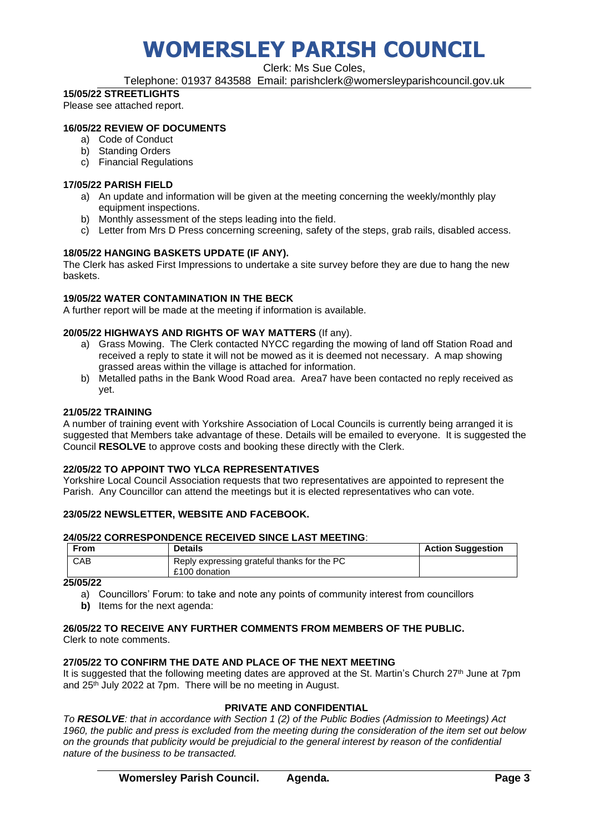Clerk: Ms Sue Coles,

Telephone: 01937 843588 Email: parishclerk@womersleyparishcouncil.gov.uk

# **15/05/22 STREETLIGHTS**

Please see attached report.

# **16/05/22 REVIEW OF DOCUMENTS**

- a) Code of Conduct
- b) Standing Orders
- c) Financial Regulations

### **17/05/22 PARISH FIELD**

- a) An update and information will be given at the meeting concerning the weekly/monthly play equipment inspections.
- b) Monthly assessment of the steps leading into the field.
- c) Letter from Mrs D Press concerning screening, safety of the steps, grab rails, disabled access.

# **18/05/22 HANGING BASKETS UPDATE (IF ANY).**

The Clerk has asked First Impressions to undertake a site survey before they are due to hang the new baskets.

# **19/05/22 WATER CONTAMINATION IN THE BECK**

A further report will be made at the meeting if information is available.

# **20/05/22 HIGHWAYS AND RIGHTS OF WAY MATTERS** (If any).

- a) Grass Mowing. The Clerk contacted NYCC regarding the mowing of land off Station Road and received a reply to state it will not be mowed as it is deemed not necessary. A map showing grassed areas within the village is attached for information.
- b) Metalled paths in the Bank Wood Road area. Area7 have been contacted no reply received as yet.

### **21/05/22 TRAINING**

A number of training event with Yorkshire Association of Local Councils is currently being arranged it is suggested that Members take advantage of these. Details will be emailed to everyone. It is suggested the Council **RESOLVE** to approve costs and booking these directly with the Clerk.

# **22/05/22 TO APPOINT TWO YLCA REPRESENTATIVES**

Yorkshire Local Council Association requests that two representatives are appointed to represent the Parish. Any Councillor can attend the meetings but it is elected representatives who can vote.

# **23/05/22 NEWSLETTER, WEBSITE AND FACEBOOK.**

#### **24/05/22 CORRESPONDENCE RECEIVED SINCE LAST MEETING**:

| From | <b>Details</b>                                               | <b>Action Suggestion</b> |
|------|--------------------------------------------------------------|--------------------------|
| CAB  | Reply expressing grateful thanks for the PC<br>£100 donation |                          |

#### **25/05/22**

a) Councillors' Forum: to take and note any points of community interest from councillors **b)** Items for the next agenda:

# **26/05/22 TO RECEIVE ANY FURTHER COMMENTS FROM MEMBERS OF THE PUBLIC.**

Clerk to note comments.

# **27/05/22 TO CONFIRM THE DATE AND PLACE OF THE NEXT MEETING**

It is suggested that the following meeting dates are approved at the St. Martin's Church 27<sup>th</sup> June at 7pm and 25<sup>th</sup> July 2022 at 7pm. There will be no meeting in August.

# **PRIVATE AND CONFIDENTIAL**

*To RESOLVE: that in accordance with Section 1 (2) of the Public Bodies (Admission to Meetings) Act 1960, the public and press is excluded from the meeting during the consideration of the item set out below on the grounds that publicity would be prejudicial to the general interest by reason of the confidential nature of the business to be transacted.*